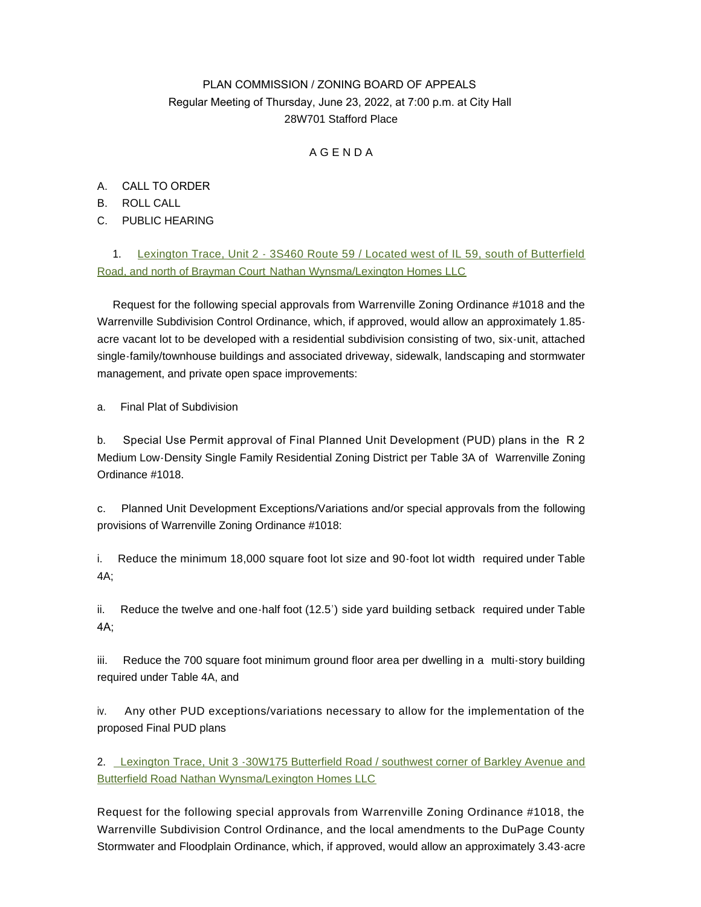# PLAN COMMISSION / ZONING BOARD OF APPEALS Regular Meeting of Thursday, June 23, 2022, at 7:00 p.m. at City Hall 28W701 Stafford Place

## A G E N D A

- A. CALL TO ORDER
- B. ROLL CALL
- C. PUBLIC HEARING

1. [Lexington Trace, Unit 2 - 3S460 Route 59 / Located west of IL 59, south of Butterfield](https://www.warrenville.il.us/DocumentCenter/View/19283/Lexington-Trace-Unit-2-Staff-Report-and-Exhibits-for-6-23-2022-Meeting)  Road, and north of Brayman Court [Nathan Wynsma/Lexington Homes LLC](https://www.warrenville.il.us/DocumentCenter/View/19283/Lexington-Trace-Unit-2-Staff-Report-and-Exhibits-for-6-23-2022-Meeting)

Request for the following special approvals from Warrenville Zoning Ordinance #1018 and the Warrenville Subdivision Control Ordinance, which, if approved, would allow an approximately 1.85 acre vacant lot to be developed with a residential subdivision consisting of two, six-unit, attached single-family/townhouse buildings and associated driveway, sidewalk, landscaping and stormwater management, and private open space improvements:

a. Final Plat of Subdivision

b. Special Use Permit approval of Final Planned Unit Development (PUD) plans in the R 2 Medium Low-Density Single Family Residential Zoning District per Table 3A of Warrenville Zoning Ordinance #1018.

c. Planned Unit Development Exceptions/Variations and/or special approvals from the following provisions of Warrenville Zoning Ordinance #1018:

i. Reduce the minimum 18,000 square foot lot size and 90-foot lot width required under Table 4A;

ii. Reduce the twelve and one-half foot (12.5') side yard building setback required under Table 4A;

iii. Reduce the 700 square foot minimum ground floor area per dwelling in a multi-story building required under Table 4A, and

iv. Any other PUD exceptions/variations necessary to allow for the implementation of the proposed Final PUD plans

2. [Lexington Trace, Unit 3 -30W175 Butterfield Road / southwest corner of Barkley Avenue and](https://www.warrenville.il.us/DocumentCenter/View/19282/Lexington-Trace-Unit-3-Staff-Report-and-Exhibits-for-6-23-2022-Meeting)  Butterfield Road Nathan Wynsma/Lexington Homes LLC

Request for the following special approvals from Warrenville Zoning Ordinance #1018, the Warrenville Subdivision Control Ordinance, and the local amendments to the DuPage County Stormwater and Floodplain Ordinance, which, if approved, would allow an approximately 3.43-acre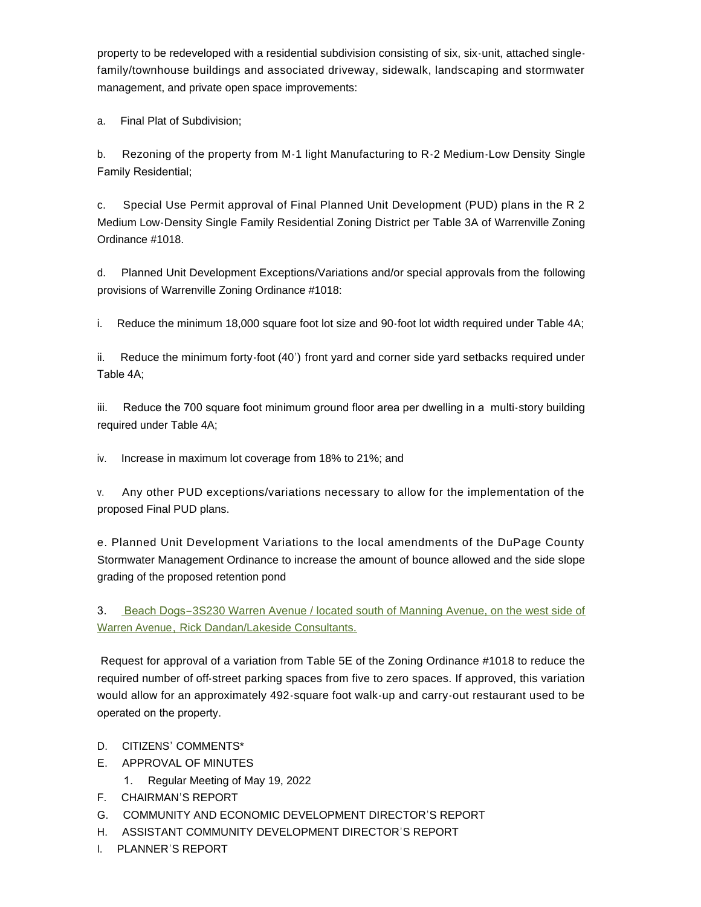property to be redeveloped with a residential subdivision consisting of six, six-unit, attached singlefamily/townhouse buildings and associated driveway, sidewalk, landscaping and stormwater management, and private open space improvements:

a. Final Plat of Subdivision;

b. Rezoning of the property from M-1 light Manufacturing to R-2 Medium-Low Density Single Family Residential;

c. Special Use Permit approval of Final Planned Unit Development (PUD) plans in the R 2 Medium Low-Density Single Family Residential Zoning District per Table 3A of Warrenville Zoning Ordinance #1018.

d. Planned Unit Development Exceptions/Variations and/or special approvals from the following provisions of Warrenville Zoning Ordinance #1018:

i. Reduce the minimum 18,000 square foot lot size and 90-foot lot width required under Table 4A;

ii. Reduce the minimum forty-foot (40') front yard and corner side yard setbacks required under Table 4A;

iii. Reduce the 700 square foot minimum ground floor area per dwelling in a multi-story building required under Table 4A;

iv. Increase in maximum lot coverage from 18% to 21%; and

v. Any other PUD exceptions/variations necessary to allow for the implementation of the proposed Final PUD plans.

e. Planned Unit Development Variations to the local amendments of the DuPage County Stormwater Management Ordinance to increase the amount of bounce allowed and the side slope grading of the proposed retention pond

3. Beach Dogs–[3S230 Warren Avenue / located south of Manning Avenue, on the west side of](https://www.warrenville.il.us/DocumentCenter/View/19284/Rick-Dandan---Lakeside-Consultants---3S230-Warren-SR_6-23-22-Meeting)  Warren Avenue[,](https://www.warrenville.il.us/DocumentCenter/View/19284/Rick-Dandan---Lakeside-Consultants---3S230-Warren-SR_6-23-22-Meeting) [Rick Dandan/Lakeside Consultants.](https://www.warrenville.il.us/DocumentCenter/View/19284/Rick-Dandan---Lakeside-Consultants---3S230-Warren-SR_6-23-22-Meeting)

Request for approval of a variation from Table 5E of the Zoning Ordinance #1018 to reduce the required number of off-street parking spaces from five to zero spaces. If approved, this variation would allow for an approximately 492-square foot walk-up and carry-out restaurant used to be operated on the property.

#### D. CITIZENS' COMMENTS\*

- E. APPROVAL OF MINUTES
	- 1. Regular Meeting of May 19, 2022
- F. CHAIRMAN'S REPORT
- G. COMMUNITY AND ECONOMIC DEVELOPMENT DIRECTOR'S REPORT
- H. ASSISTANT COMMUNITY DEVELOPMENT DIRECTOR'S REPORT
- I. PLANNER'S REPORT